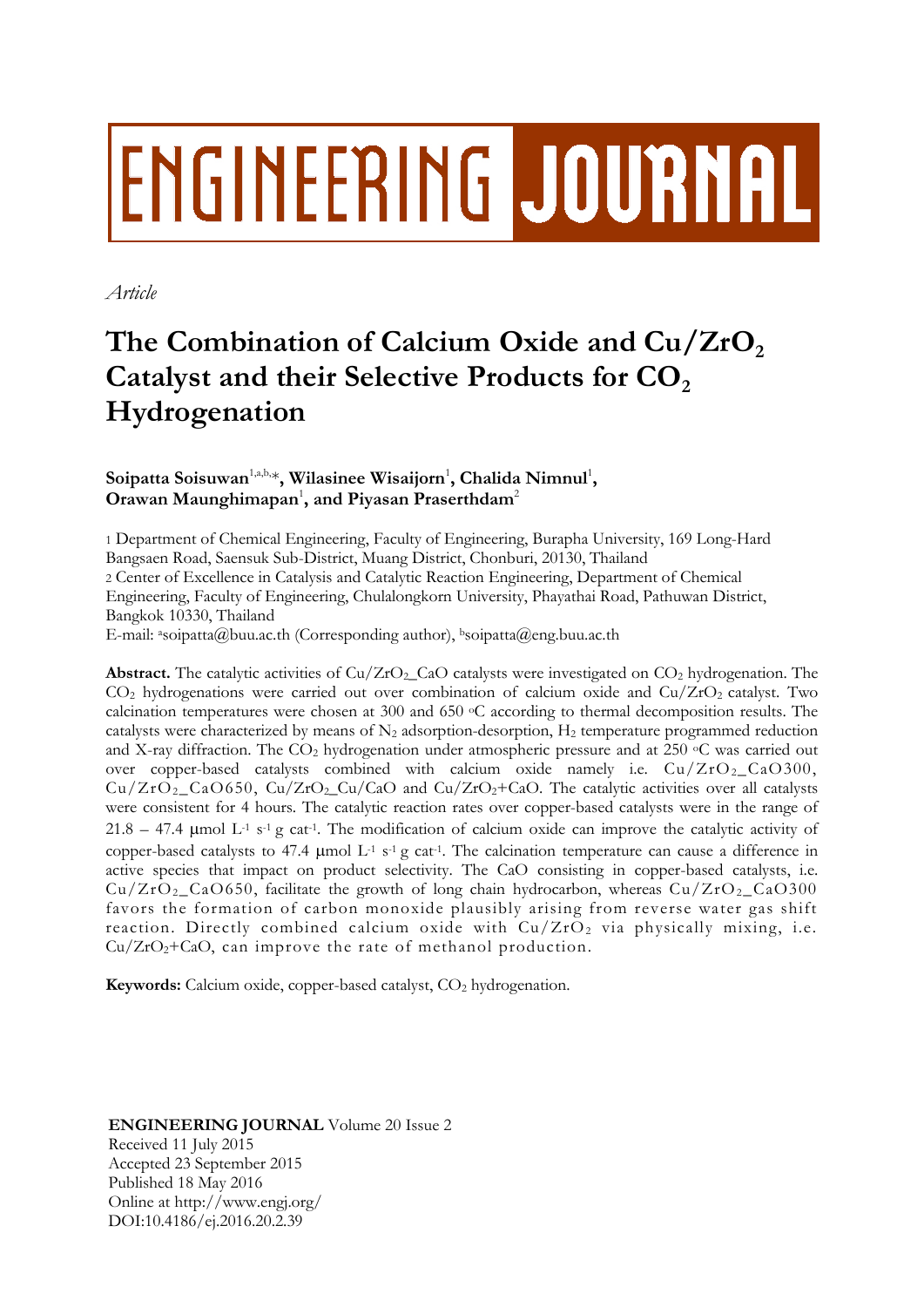# **ENGINEERING JOURNAL**

*Article*

# **The Combination of Calcium Oxide and Cu/ZrO<sup>2</sup> Catalyst and their Selective Products for CO<sup>2</sup> Hydrogenation**

# **Soipatta Soisuwan**1,a,b,\***, Wilasinee Wisaijorn**<sup>1</sup> **, Chalida Nimnul**<sup>1</sup> **, Orawan Maunghimapan**<sup>1</sup> **, and Piyasan Praserthdam**<sup>2</sup>

1 Department of Chemical Engineering, Faculty of Engineering, Burapha University, 169 Long-Hard Bangsaen Road, Saensuk Sub-District, Muang District, Chonburi, 20130, Thailand 2 Center of Excellence in Catalysis and Catalytic Reaction Engineering, Department of Chemical Engineering, Faculty of Engineering, Chulalongkorn University, Phayathai Road, Pathuwan District, Bangkok 10330, Thailand

E-mail: a[soipatta@buu.ac.th](mailto:asoipatta@buu.ac.th) (Corresponding author), bsoipatta@eng.buu.ac.th

**Abstract.** The catalytic activities of  $Cu/ZrO<sub>2</sub>$  CaO catalysts were investigated on  $CO<sub>2</sub>$  hydrogenation. The  $CO<sub>2</sub>$  hydrogenations were carried out over combination of calcium oxide and  $Cu/ZrO<sub>2</sub>$  catalyst. Two calcination temperatures were chosen at 300 and 650 <sup>o</sup>C according to thermal decomposition results. The catalysts were characterized by means of  $N_2$  adsorption-desorption,  $H_2$  temperature programmed reduction and X-ray diffraction. The  $CO<sub>2</sub>$  hydrogenation under atmospheric pressure and at 250  $\degree$ C was carried out over copper-based catalysts combined with calcium oxide namely i.e.  $Cu/ZrO<sub>2</sub>-CaO300$ ,  $Cu/ZrO<sub>2</sub>$  CaO650, Cu/ZrO<sub>2</sub>\_Cu/CaO and Cu/ZrO<sub>2</sub>+CaO. The catalytic activities over all catalysts were consistent for 4 hours. The catalytic reaction rates over copper-based catalysts were in the range of  $21.8 - 47.4$  µmol L<sup>-1</sup> s<sup>-1</sup> g cat<sup>-1</sup>. The modification of calcium oxide can improve the catalytic activity of copper-based catalysts to 47.4  $\mu$ mol L<sup>-1</sup> s<sup>-1</sup> g cat<sup>-1</sup>. The calcination temperature can cause a difference in active species that impact on product selectivity. The CaO consisting in copper-based catalysts, i.e.  $Cu/ZrO<sub>2</sub>$ CaO650, facilitate the growth of long chain hydrocarbon, whereas  $Cu/ZrO<sub>2</sub>$ CaO300 favors the formation of carbon monoxide plausibly arising from reverse water gas shift reaction. Directly combined calcium oxide with  $Cu/ZrO<sub>2</sub>$  via physically mixing, i.e.  $Cu/ZrO<sub>2</sub>+CaO$ , can improve the rate of methanol production.

**Keywords:** Calcium oxide, copper-based catalyst, CO<sub>2</sub> hydrogenation.

**ENGINEERING JOURNAL** Volume 20 Issue 2 Received 11 July 2015 Accepted 23 September 2015 Published 18 May 2016 Online at http://www.engj.org/ DOI:10.4186/ej.2016.20.2.39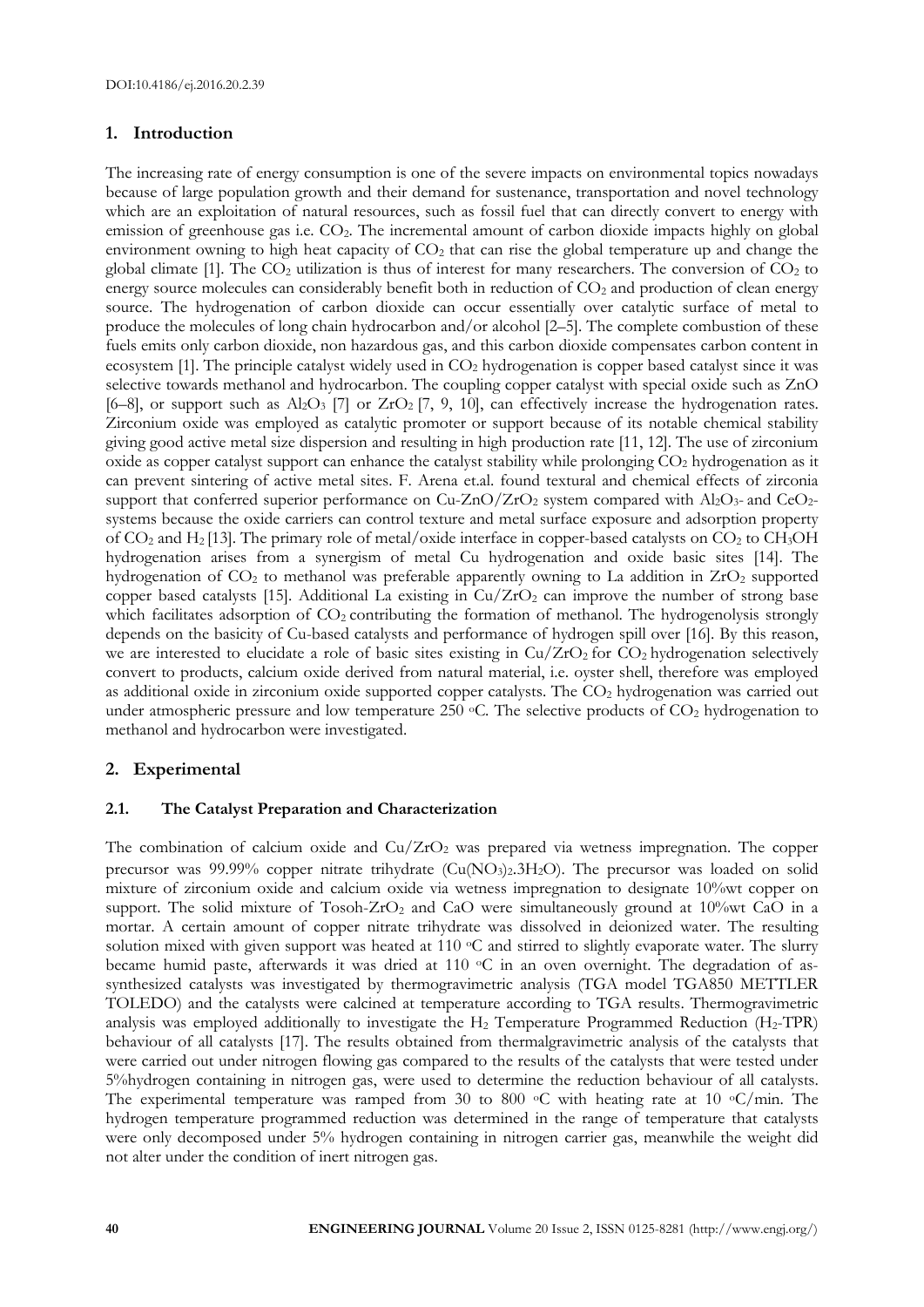# **1. Introduction**

The increasing rate of energy consumption is one of the severe impacts on environmental topics nowadays because of large population growth and their demand for sustenance, transportation and novel technology which are an exploitation of natural resources, such as fossil fuel that can directly convert to energy with emission of greenhouse gas i.e. CO2. The incremental amount of carbon dioxide impacts highly on global environment owning to high heat capacity of  $CO<sub>2</sub>$  that can rise the global temperature up and change the global climate [1]. The  $CO<sub>2</sub>$  utilization is thus of interest for many researchers. The conversion of  $CO<sub>2</sub>$  to energy source molecules can considerably benefit both in reduction of  $CO<sub>2</sub>$  and production of clean energy source. The hydrogenation of carbon dioxide can occur essentially over catalytic surface of metal to produce the molecules of long chain hydrocarbon and/or alcohol [2–5]. The complete combustion of these fuels emits only carbon dioxide, non hazardous gas, and this carbon dioxide compensates carbon content in ecosystem [1]. The principle catalyst widely used in CO<sub>2</sub> hydrogenation is copper based catalyst since it was selective towards methanol and hydrocarbon. The coupling copper catalyst with special oxide such as ZnO [6–8], or support such as  $\text{Al}_2\text{O}_3$  [7] or  $\text{ZrO}_2$  [7, 9, 10], can effectively increase the hydrogenation rates. Zirconium oxide was employed as catalytic promoter or support because of its notable chemical stability giving good active metal size dispersion and resulting in high production rate [11, 12]. The use of zirconium oxide as copper catalyst support can enhance the catalyst stability while prolonging  $CO<sub>2</sub>$  hydrogenation as it can prevent sintering of active metal sites. F. Arena et.al. found textural and chemical effects of zirconia support that conferred superior performance on  $Cu-ZnO/ZrO<sub>2</sub>$  system compared with  $Al_2O_3$ - and  $CeO_2$ systems because the oxide carriers can control texture and metal surface exposure and adsorption property of  $CO_2$  and H<sub>2</sub> [13]. The primary role of metal/oxide interface in copper-based catalysts on  $CO_2$  to  $CH_3OH$ hydrogenation arises from a synergism of metal Cu hydrogenation and oxide basic sites [14]. The hydrogenation of CO<sub>2</sub> to methanol was preferable apparently owning to La addition in ZrO<sub>2</sub> supported copper based catalysts [15]. Additional La existing in  $Cu/ZrO<sub>2</sub>$  can improve the number of strong base which facilitates adsorption of CO<sub>2</sub> contributing the formation of methanol. The hydrogenolysis strongly depends on the basicity of Cu-based catalysts and performance of hydrogen spill over [16]. By this reason, we are interested to elucidate a role of basic sites existing in  $Cu/ZrO<sub>2</sub>$  for  $CO<sub>2</sub>$  hydrogenation selectively convert to products, calcium oxide derived from natural material, i.e. oyster shell, therefore was employed as additional oxide in zirconium oxide supported copper catalysts. The CO<sub>2</sub> hydrogenation was carried out under atmospheric pressure and low temperature 250  $\degree$ C. The selective products of CO<sub>2</sub> hydrogenation to methanol and hydrocarbon were investigated.

# **2. Experimental**

# **2.1. The Catalyst Preparation and Characterization**

The combination of calcium oxide and  $Cu/ZrO<sub>2</sub>$  was prepared via wetness impregnation. The copper precursor was 99.99% copper nitrate trihydrate (Cu(NO<sub>3</sub>)<sub>2</sub>.3H<sub>2</sub>O). The precursor was loaded on solid mixture of zirconium oxide and calcium oxide via wetness impregnation to designate 10%wt copper on support. The solid mixture of Tosoh-ZrO<sub>2</sub> and CaO were simultaneously ground at 10%wt CaO in a mortar. A certain amount of copper nitrate trihydrate was dissolved in deionized water. The resulting solution mixed with given support was heated at 110  $\circ$ C and stirred to slightly evaporate water. The slurry became humid paste, afterwards it was dried at 110 °C in an oven overnight. The degradation of assynthesized catalysts was investigated by thermogravimetric analysis (TGA model TGA850 METTLER TOLEDO) and the catalysts were calcined at temperature according to TGA results. Thermogravimetric analysis was employed additionally to investigate the  $H_2$  Temperature Programmed Reduction ( $H_2$ -TPR) behaviour of all catalysts [17]. The results obtained from thermalgravimetric analysis of the catalysts that were carried out under nitrogen flowing gas compared to the results of the catalysts that were tested under 5%hydrogen containing in nitrogen gas, were used to determine the reduction behaviour of all catalysts. The experimental temperature was ramped from 30 to 800  $\circ$ C with heating rate at 10  $\circ$ C/min. The hydrogen temperature programmed reduction was determined in the range of temperature that catalysts were only decomposed under 5% hydrogen containing in nitrogen carrier gas, meanwhile the weight did not alter under the condition of inert nitrogen gas.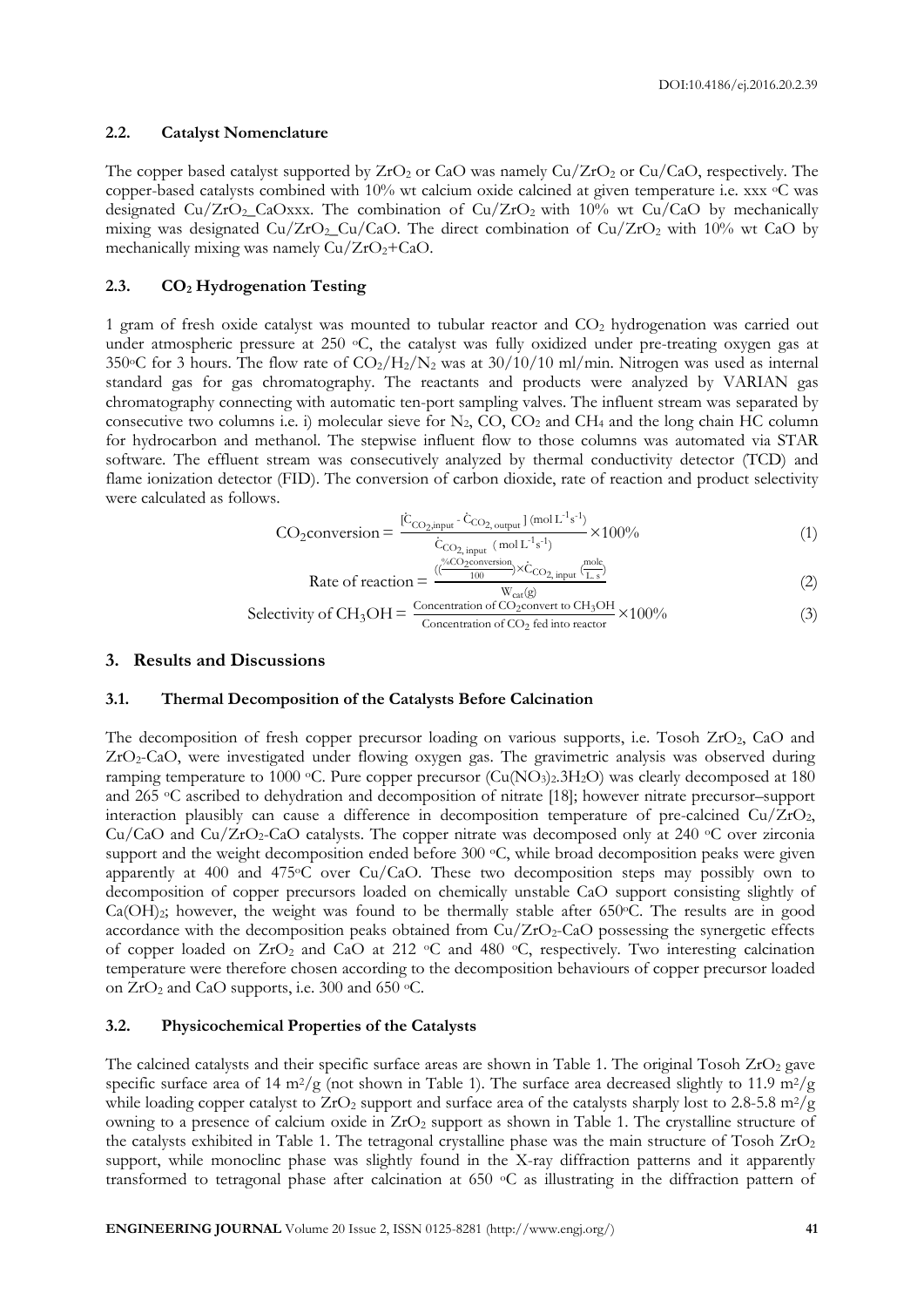#### **2.2. Catalyst Nomenclature**

The copper based catalyst supported by  $ZrO_2$  or CaO was namely  $Cu/ZrO_2$  or  $Cu/CaO$ , respectively. The copper-based catalysts combined with  $10\%$  wt calcium oxide calcined at given temperature i.e. xxx  $\degree$ C was designated Cu/ZrO<sub>2</sub>\_CaOxxx. The combination of Cu/ZrO<sub>2</sub> with 10% wt Cu/CaO by mechanically mixing was designated  $Cu/ZrO<sub>2</sub>-Cu/CaO$ . The direct combination of  $Cu/ZrO<sub>2</sub>$  with 10% wt CaO by mechanically mixing was namely  $Cu/ZrO<sub>2</sub>+CaO$ .

#### **2.3. CO<sup>2</sup> Hydrogenation Testing**

1 gram of fresh oxide catalyst was mounted to tubular reactor and CO<sub>2</sub> hydrogenation was carried out under atmospheric pressure at 250  $\circ$ C, the catalyst was fully oxidized under pre-treating oxygen gas at 350 $\circ$ C for 3 hours. The flow rate of CO<sub>2</sub>/H<sub>2</sub>/N<sub>2</sub> was at 30/10/10 ml/min. Nitrogen was used as internal standard gas for gas chromatography. The reactants and products were analyzed by VARIAN gas chromatography connecting with automatic ten-port sampling valves. The influent stream was separated by consecutive two columns i.e. i) molecular sieve for  $N_2$ , CO, CO<sub>2</sub> and CH<sub>4</sub> and the long chain HC column for hydrocarbon and methanol. The stepwise influent flow to those columns was automated via STAR software. The effluent stream was consecutively analyzed by thermal conductivity detector (TCD) and flame ionization detector (FID). The conversion of carbon dioxide, rate of reaction and product selectivity were calculated as follows.

$$
CO_2 \text{conversion} = \frac{[C_{\text{CO}_2, input} - C_{\text{CO}_2, output}]}{C_{\text{CO}_2, input}} \times 100\%
$$
\n(1)

Rate of reaction = 
$$
\frac{\left(\frac{\text{``6CO}_2 \text{conversion}}{100}\right) \times C_{\text{CO}_2, input} \left(\frac{\text{mole}}{\text{L.s}}\right)}{W_{\text{cat}}(g)}
$$
(2)

Selectivity of 
$$
CH_3OH = \frac{Concentration of CO_2convert to CH_3OH}{Concentration of CO_2 fed into reactor} \times 100\%
$$
 (3)

#### **3. Results and Discussions**

#### **3.1. Thermal Decomposition of the Catalysts Before Calcination**

The decomposition of fresh copper precursor loading on various supports, i.e. Tosoh ZrO<sub>2</sub>, CaO and ZrO<sub>2</sub>-CaO, were investigated under flowing oxygen gas. The gravimetric analysis was observed during ramping temperature to 1000 °C. Pure copper precursor (Cu(NO<sub>3</sub>)<sub>2</sub>.3H<sub>2</sub>O) was clearly decomposed at 180 and 265 <sup>o</sup>C ascribed to dehydration and decomposition of nitrate [18]; however nitrate precursor–support interaction plausibly can cause a difference in decomposition temperature of pre-calcined  $Cu/ZrO<sub>2</sub>$ , Cu/CaO and Cu/ZrO<sub>2</sub>-CaO catalysts. The copper nitrate was decomposed only at 240  $\degree$ C over zirconia support and the weight decomposition ended before 300 °C, while broad decomposition peaks were given apparently at 400 and 475oC over Cu/CaO. These two decomposition steps may possibly own to decomposition of copper precursors loaded on chemically unstable CaO support consisting slightly of  $Ca(OH)_2$ ; however, the weight was found to be thermally stable after 650 $\degree$ C. The results are in good accordance with the decomposition peaks obtained from  $Cu/ZrO<sub>2</sub>-CaO$  possessing the synergetic effects of copper loaded on  $ZrO<sub>2</sub>$  and  $CaO$  at 212  $\circ$ C and 480  $\circ$ C, respectively. Two interesting calcination temperature were therefore chosen according to the decomposition behaviours of copper precursor loaded on  $ZrO_2$  and CaO supports, i.e. 300 and 650 °C.

#### **3.2. Physicochemical Properties of the Catalysts**

The calcined catalysts and their specific surface areas are shown in Table 1. The original Tosoh  $ZrO<sub>2</sub>$  gave specific surface area of 14 m<sup>2</sup>/g (not shown in Table 1). The surface area decreased slightly to 11.9 m<sup>2</sup>/g while loading copper catalyst to  $ZrO<sub>2</sub>$  support and surface area of the catalysts sharply lost to 2.8-5.8 m<sup>2</sup>/g owning to a presence of calcium oxide in ZrO<sub>2</sub> support as shown in Table 1. The crystalline structure of the catalysts exhibited in Table 1. The tetragonal crystalline phase was the main structure of Tosoh  $ZrO<sub>2</sub>$ support, while monoclinc phase was slightly found in the X-ray diffraction patterns and it apparently transformed to tetragonal phase after calcination at 650 <sup>o</sup>C as illustrating in the diffraction pattern of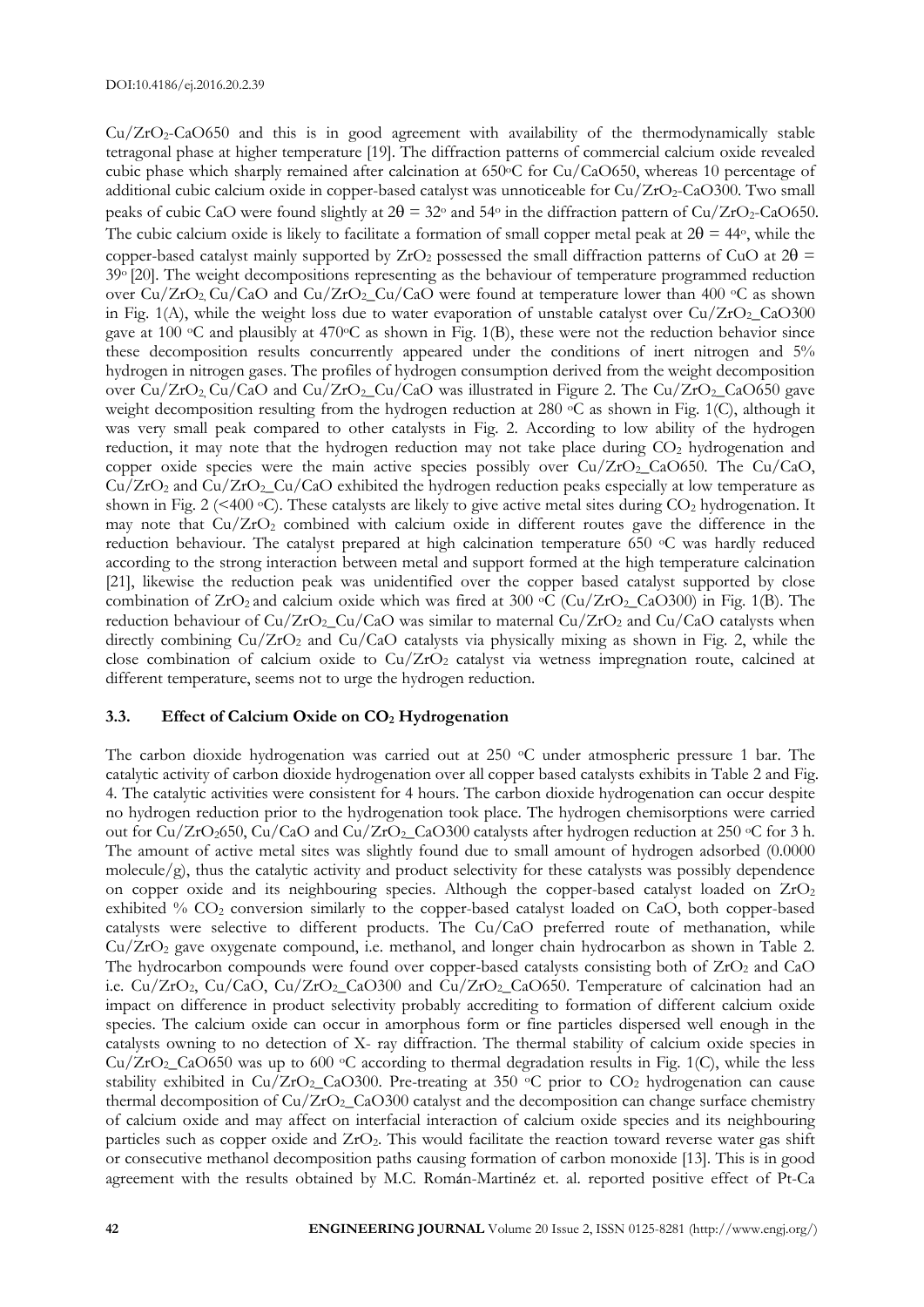$Cu/ZrO<sub>2</sub>-CaO650$  and this is in good agreement with availability of the thermodynamically stable tetragonal phase at higher temperature [19]. The diffraction patterns of commercial calcium oxide revealed cubic phase which sharply remained after calcination at 650°C for Cu/CaO650, whereas 10 percentage of additional cubic calcium oxide in copper-based catalyst was unnoticeable for  $Cu/ZrO<sub>2</sub>-CaO300$ . Two small peaks of cubic CaO were found slightly at  $2\theta = 32\degree$  and 54 $\degree$  in the diffraction pattern of Cu/ZrO<sub>2</sub>-CaO650. The cubic calcium oxide is likely to facilitate a formation of small copper metal peak at  $2\theta = 44$ °, while the copper-based catalyst mainly supported by  $ZrO_2$  possessed the small diffraction patterns of CuO at  $2\theta$  = 39<sup>o</sup> [20]. The weight decompositions representing as the behaviour of temperature programmed reduction over  $Cu/ZrO<sub>2</sub> Cu/CaO$  and  $Cu/ZrO<sub>2</sub> Cu/CaO$  were found at temperature lower than 400 °C as shown in Fig. 1(A), while the weight loss due to water evaporation of unstable catalyst over  $Cu/ZrO<sub>2</sub>$  CaO300 gave at 100  $\circ$ C and plausibly at 470 $\circ$ C as shown in Fig. 1(B), these were not the reduction behavior since these decomposition results concurrently appeared under the conditions of inert nitrogen and 5% hydrogen in nitrogen gases. The profiles of hydrogen consumption derived from the weight decomposition over  $Cu/ZrO_2$ ,  $Cu/CaO$  and  $Cu/ZrO_2$ ,  $Cu/CaO$  was illustrated in Figure 2. The  $Cu/ZrO_2$ ,  $CaO650$  gave weight decomposition resulting from the hydrogen reduction at 280 °C as shown in Fig. 1(C), although it was very small peak compared to other catalysts in Fig. 2. According to low ability of the hydrogen reduction, it may note that the hydrogen reduction may not take place during  $CO<sub>2</sub>$  hydrogenation and copper oxide species were the main active species possibly over  $Cu/ZrO<sub>2</sub>-CaO650$ . The  $Cu/CaO$ ,  $Cu/ZrO<sub>2</sub>$  and  $Cu/ZrO<sub>2</sub>$  Cu/CaO exhibited the hydrogen reduction peaks especially at low temperature as shown in Fig. 2 (<400  $\degree$ C). These catalysts are likely to give active metal sites during CO<sub>2</sub> hydrogenation. It may note that  $Cu/ZrO<sub>2</sub>$  combined with calcium oxide in different routes gave the difference in the reduction behaviour. The catalyst prepared at high calcination temperature 650 <sup>o</sup>C was hardly reduced according to the strong interaction between metal and support formed at the high temperature calcination [21], likewise the reduction peak was unidentified over the copper based catalyst supported by close combination of  $ZrO_2$  and calcium oxide which was fired at 300 °C (Cu/ZrO<sub>2</sub>\_CaO300) in Fig. 1(B). The reduction behaviour of  $Cu/ZrO<sub>2</sub>-Cu/CaO$  was similar to maternal  $Cu/ZrO<sub>2</sub>$  and  $Cu/CaO$  catalysts when directly combining  $Cu/ZrO<sub>2</sub>$  and  $Cu/CaO$  catalysts via physically mixing as shown in Fig. 2, while the close combination of calcium oxide to  $Cu/ZrO<sub>2</sub>$  catalyst via wetness impregnation route, calcined at different temperature, seems not to urge the hydrogen reduction.

#### **3.3. Effect of Calcium Oxide on CO<sup>2</sup> Hydrogenation**

The carbon dioxide hydrogenation was carried out at 250 °C under atmospheric pressure 1 bar. The catalytic activity of carbon dioxide hydrogenation over all copper based catalysts exhibits in Table 2 and Fig. 4. The catalytic activities were consistent for 4 hours. The carbon dioxide hydrogenation can occur despite no hydrogen reduction prior to the hydrogenation took place. The hydrogen chemisorptions were carried out for Cu/ZrO<sub>2</sub>650, Cu/CaO and Cu/ZrO<sub>2</sub>\_CaO300 catalysts after hydrogen reduction at 250 °C for 3 h. The amount of active metal sites was slightly found due to small amount of hydrogen adsorbed (0.0000 molecule/g), thus the catalytic activity and product selectivity for these catalysts was possibly dependence on copper oxide and its neighbouring species. Although the copper-based catalyst loaded on ZrO2 exhibited % CO<sub>2</sub> conversion similarly to the copper-based catalyst loaded on CaO, both copper-based catalysts were selective to different products. The Cu/CaO preferred route of methanation, while Cu/ZrO<sup>2</sup> gave oxygenate compound, i.e. methanol, and longer chain hydrocarbon as shown in Table 2. The hydrocarbon compounds were found over copper-based catalysts consisting both of  $ZrO<sub>2</sub>$  and CaO i.e. Cu/ZrO<sub>2</sub>, Cu/CaO, Cu/ZrO<sub>2</sub>\_CaO300 and Cu/ZrO<sub>2</sub>\_CaO650. Temperature of calcination had an impact on difference in product selectivity probably accrediting to formation of different calcium oxide species. The calcium oxide can occur in amorphous form or fine particles dispersed well enough in the catalysts owning to no detection of X- ray diffraction. The thermal stability of calcium oxide species in  $Cu/ZrO<sub>2</sub> CaO650$  was up to 600 °C according to thermal degradation results in Fig. 1(C), while the less stability exhibited in  $Cu/ZrO<sub>2</sub>-CaO300$ . Pre-treating at 350  $\degree$ C prior to  $CO<sub>2</sub>$  hydrogenation can cause thermal decomposition of  $Cu/ZrO<sub>2</sub>$  CaO300 catalyst and the decomposition can change surface chemistry of calcium oxide and may affect on interfacial interaction of calcium oxide species and its neighbouring particles such as copper oxide and ZrO<sub>2</sub>. This would facilitate the reaction toward reverse water gas shift or consecutive methanol decomposition paths causing formation of carbon monoxide [13]. This is in good agreement with the results obtained by M.C. Román-Martinéz et. al. reported positive effect of Pt-Ca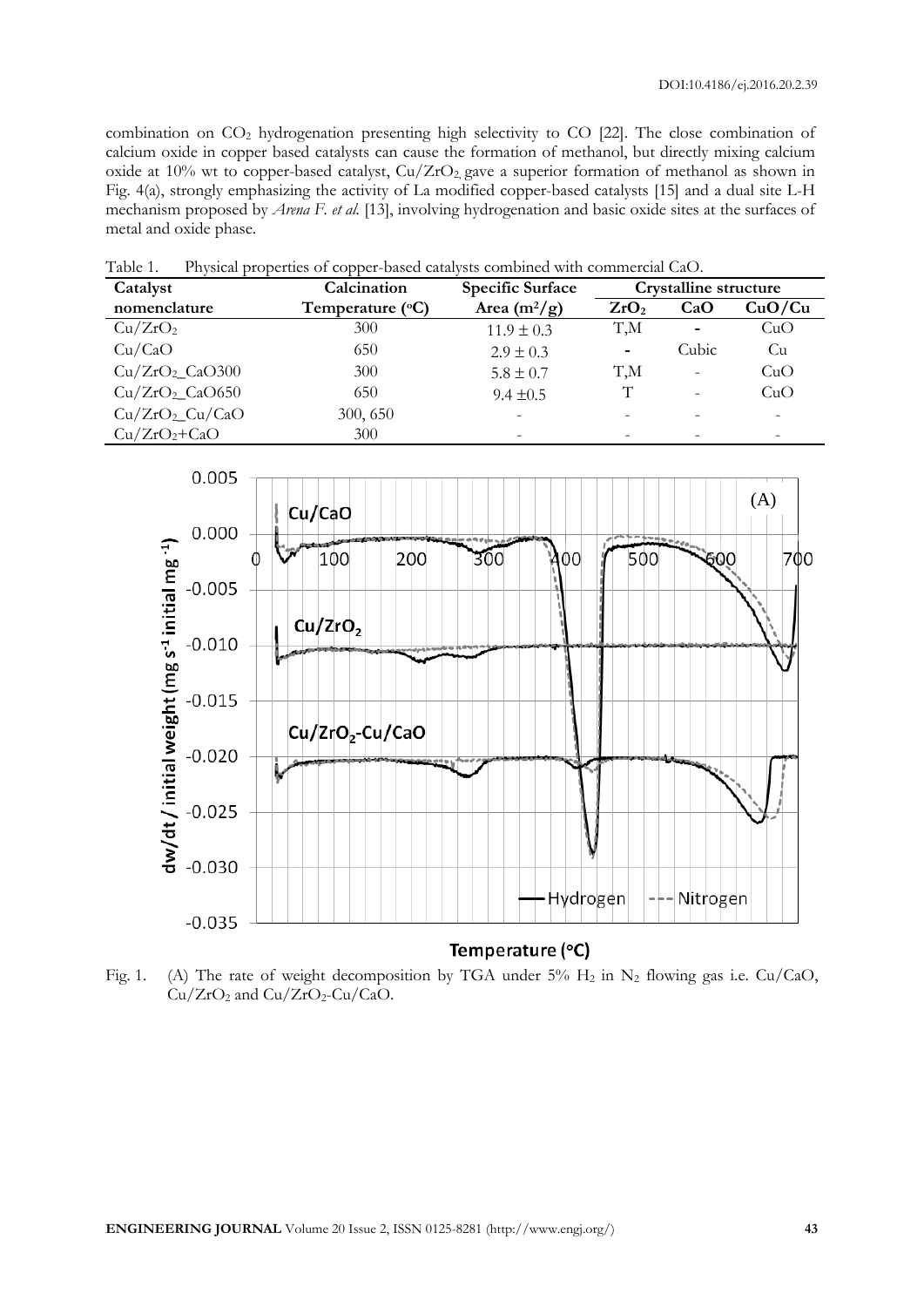combination on CO<sup>2</sup> hydrogenation presenting high selectivity to CO [22]. The close combination of calcium oxide in copper based catalysts can cause the formation of methanol, but directly mixing calcium oxide at 10% wt to copper-based catalyst,  $Cu/ZrO<sub>2</sub>$  gave a superior formation of methanol as shown in Fig. 4(a), strongly emphasizing the activity of La modified copper-based catalysts [15] and a dual site L-H mechanism proposed by *Arena F. et al.* [13], involving hydrogenation and basic oxide sites at the surfaces of metal and oxide phase.

Table 1. Physical properties of copper-based catalysts combined with commercial CaO.

| Catalyst                   | Calcination               | <b>Specific Surface</b> | Crystalline structure    |                          |        |
|----------------------------|---------------------------|-------------------------|--------------------------|--------------------------|--------|
| nomenclature               | Temperature $(^{\circ}C)$ | Area $(m^2/g)$          | ZrO <sub>2</sub>         | CaO                      | CuO/Cu |
| Cu/ZrO <sub>2</sub>        | 300                       | $11.9 \pm 0.3$          | T,M                      | $\overline{\phantom{0}}$ | CuO    |
| Cu/CaO                     | 650                       | $2.9 \pm 0.3$           | $\overline{\phantom{a}}$ | Cubic                    | Cu     |
| $Cu/ZrO2$ CaO300           | 300                       | $5.8 \pm 0.7$           | T,M                      | $\overline{\phantom{a}}$ | CuO    |
| Cu/ZrO <sub>2</sub> CaO650 | 650                       | $9.4 \pm 0.5$           | T                        | $\overline{\phantom{a}}$ | CuO    |
| $Cu/ZrO2-Cu/CaO$           | 300, 650                  |                         | $\qquad \qquad$          |                          |        |
| $Cu/ZrO2+CaO$              | 300                       |                         |                          |                          |        |



Fig. 1. (A) The rate of weight decomposition by TGA under 5%  $H_2$  in N<sub>2</sub> flowing gas i.e. Cu/CaO,  $Cu/ZrO<sub>2</sub>$  and  $Cu/ZrO<sub>2</sub>-Cu/CaO$ .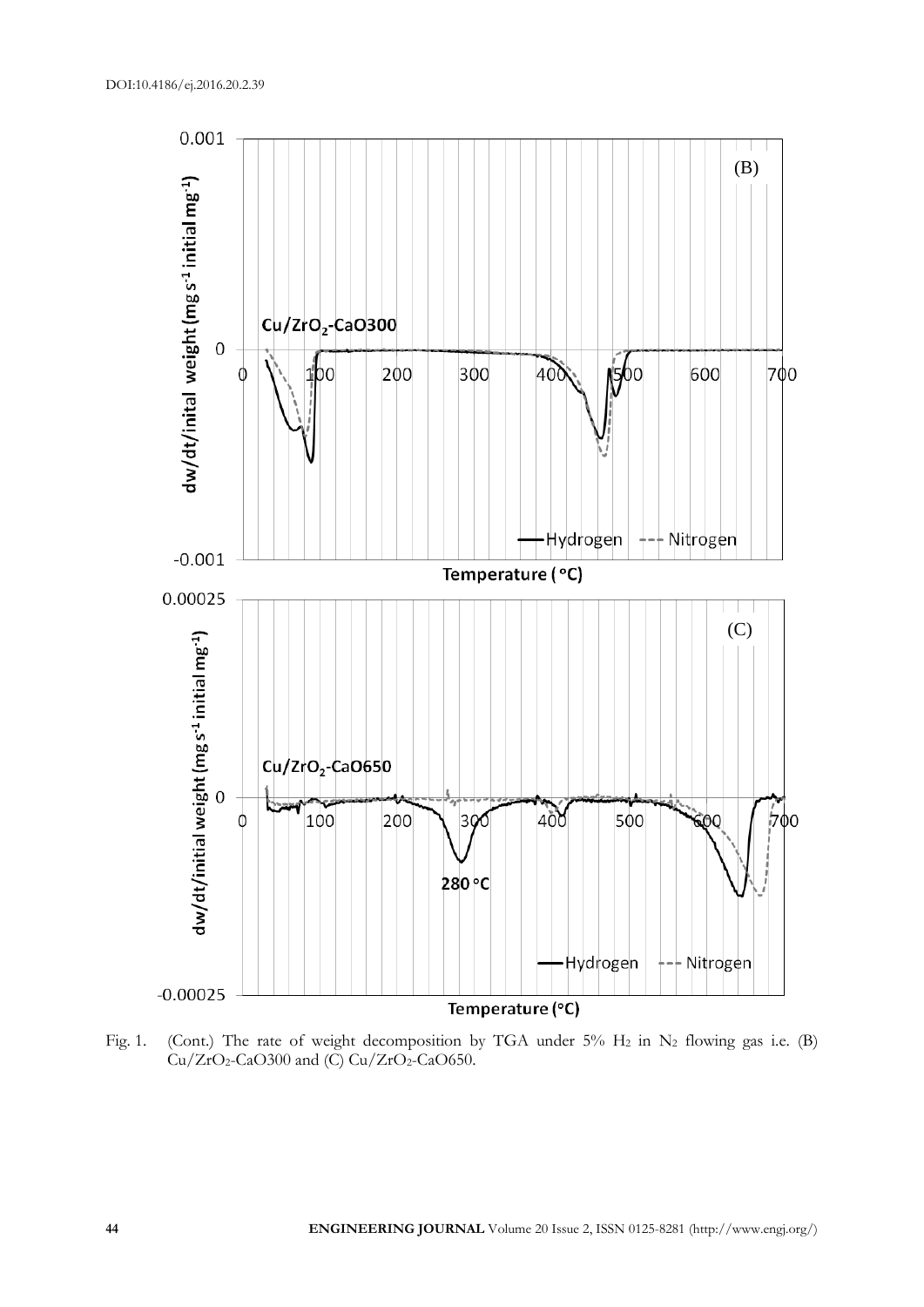

Fig. 1. (Cont.) The rate of weight decomposition by TGA under 5%  $H_2$  in  $N_2$  flowing gas i.e. (B)  $Cu/ZrO<sub>2</sub>-CaO300$  and (C)  $Cu/ZrO<sub>2</sub>-CaO650$ .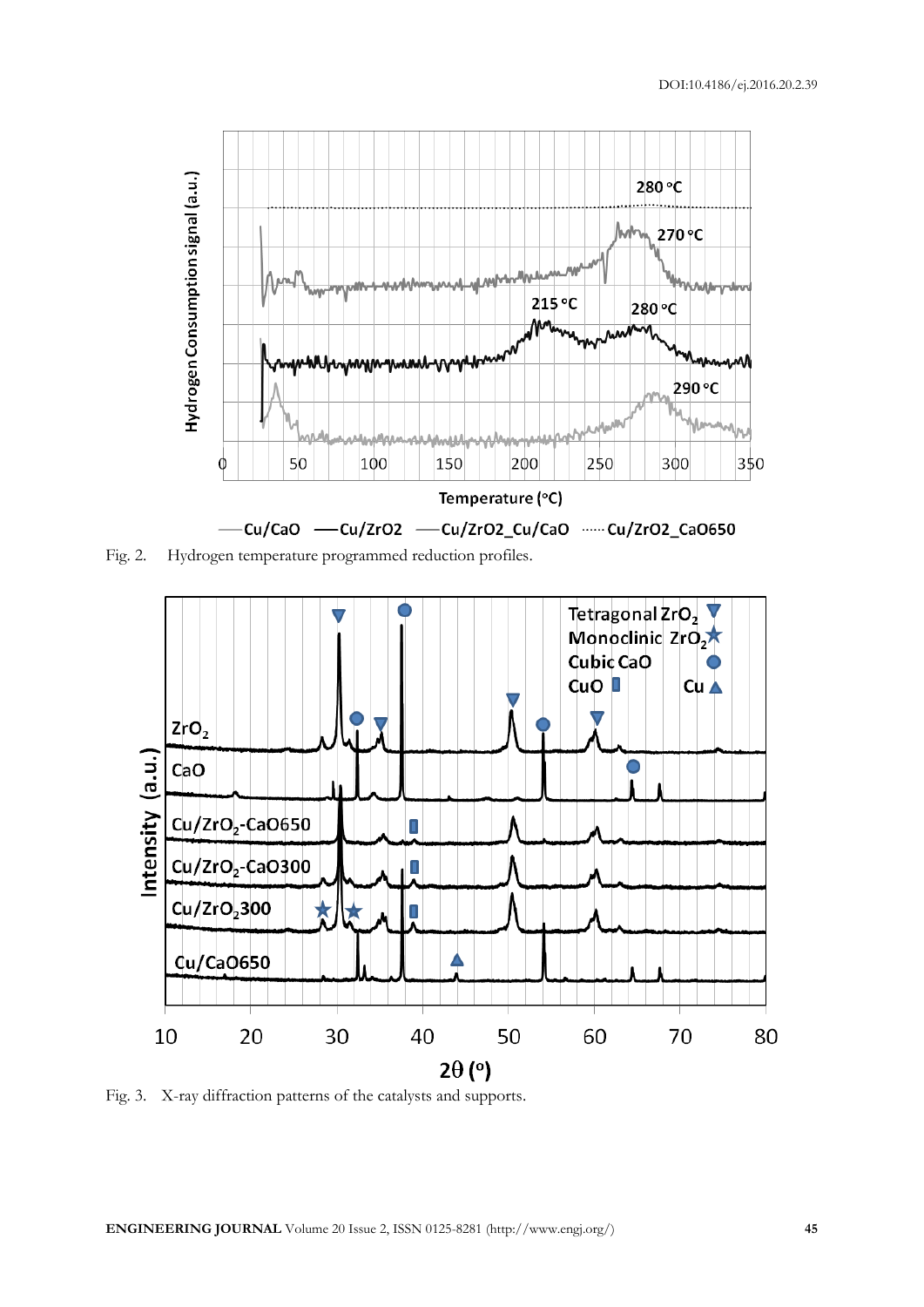

Fig. 2. Hydrogen temperature programmed reduction profiles.



Fig. 3. X-ray diffraction patterns of the catalysts and supports.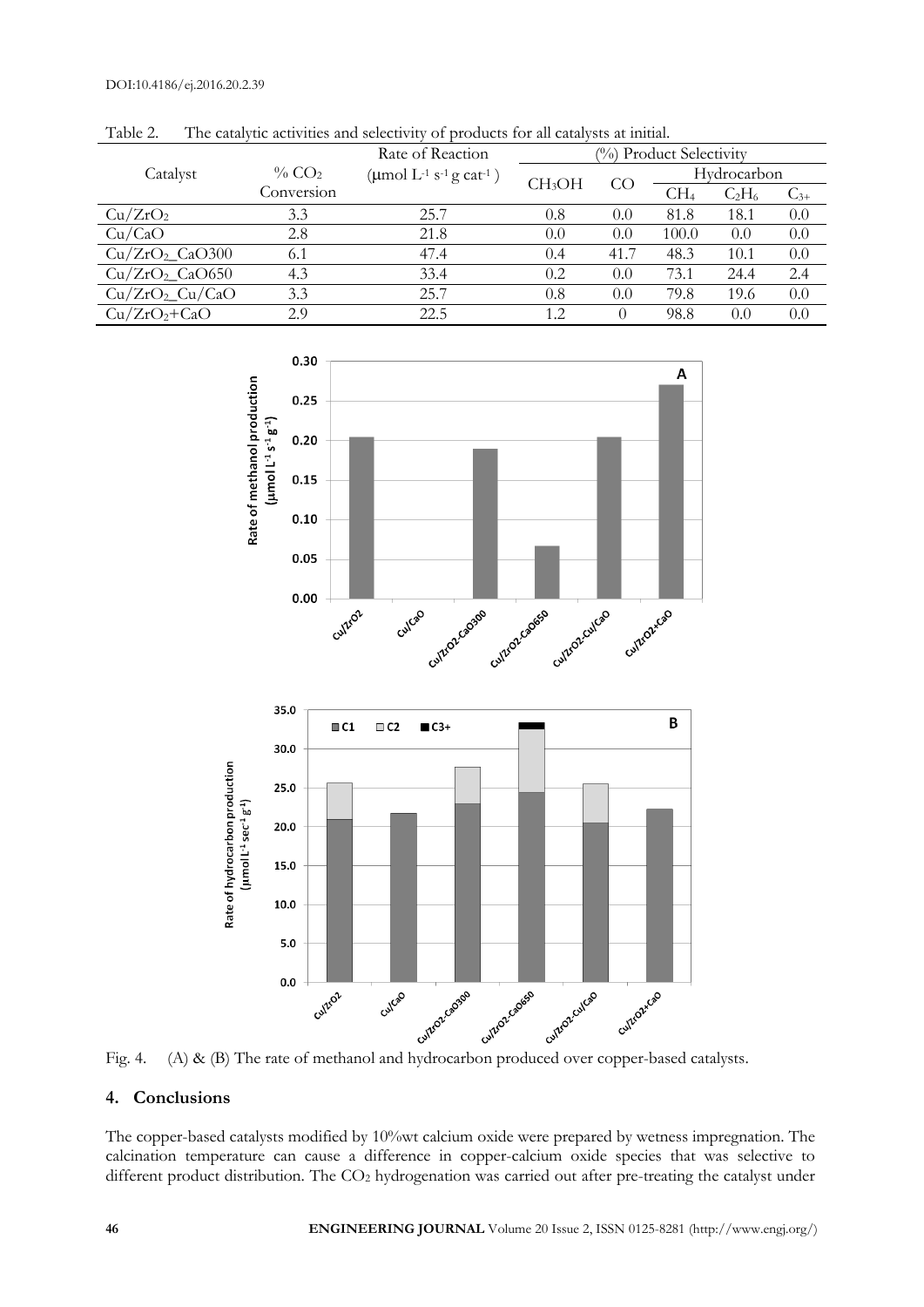|                            |                                    | Rate of Reaction                                                  | (%) Product Selectivity |      |                 |          |          |
|----------------------------|------------------------------------|-------------------------------------------------------------------|-------------------------|------|-----------------|----------|----------|
| Catalyst                   | $\%$ CO <sub>2</sub><br>Conversion | ( $\mu$ mol L <sup>-1</sup> s <sup>-1</sup> g cat <sup>-1</sup> ) | CH <sub>3</sub> OH      | CO   | Hydrocarbon     |          |          |
|                            |                                    |                                                                   |                         |      | CH <sub>4</sub> | $C_2H_6$ | $C_{3+}$ |
| Cu/ZrO <sub>2</sub>        | 3.3                                | 25.7                                                              | 0.8                     | 0.0  | 81.8            | 18.1     | 0.0      |
| Cu/CaO                     | 2.8                                | 21.8                                                              | 0.0                     | 0.0  | 100.0           | 0.0      | 0.0      |
| Cu/ZrO <sub>2</sub> CaO300 | 6.1                                | 47.4                                                              | 0.4                     | 41.7 | 48.3            | 10.1     | 0.0      |
| Cu/ZrO <sub>2</sub> CaO650 | 4.3                                | 33.4                                                              | 0.2                     | 0.0  | 73.1            | 24.4     | 2.4      |
| $Cu/ZrO2-Cu/CaO$           | 3.3                                | 25.7                                                              | 0.8                     | 0.0  | 79.8            | 19.6     | 0.0      |
| $Cu/ZrO2+CaO$              | 2.9                                | 22.5                                                              | 1.2                     | 0    | 98.8            | 0.0      | 0.0      |

Table 2. The catalytic activities and selectivity of products for all catalysts at initial.



# **4. Conclusions**

The copper-based catalysts modified by 10%wt calcium oxide were prepared by wetness impregnation. The calcination temperature can cause a difference in copper-calcium oxide species that was selective to different product distribution. The CO<sub>2</sub> hydrogenation was carried out after pre-treating the catalyst under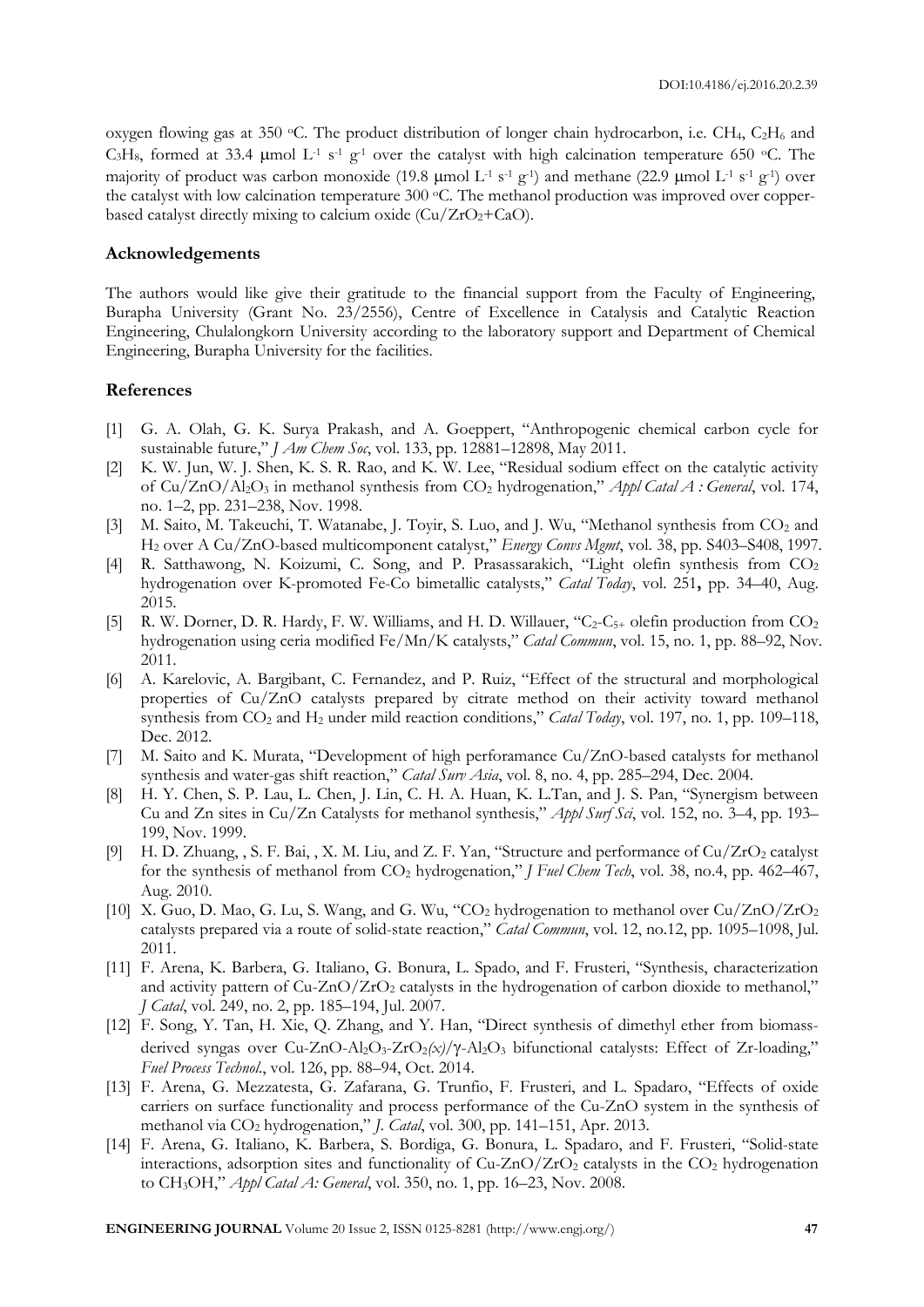oxygen flowing gas at 350 °C. The product distribution of longer chain hydrocarbon, i.e. CH<sub>4</sub>, C<sub>2</sub>H<sub>6</sub> and C<sub>3</sub>H<sub>8</sub>, formed at 33.4 µmol L<sup>-1</sup> s<sup>-1</sup> g<sup>-1</sup> over the catalyst with high calcination temperature 650 °C. The majority of product was carbon monoxide (19.8 µmol L<sup>-1</sup> s<sup>-1</sup> g<sup>-1</sup>) and methane (22.9 µmol L<sup>-1</sup> s<sup>-1</sup> g<sup>-1</sup>) over the catalyst with low calcination temperature 300 °C. The methanol production was improved over copperbased catalyst directly mixing to calcium oxide  $(Cu/ZrO<sub>2</sub>+CaO)$ .

#### **Acknowledgements**

The authors would like give their gratitude to the financial support from the Faculty of Engineering, Burapha University (Grant No. 23/2556), Centre of Excellence in Catalysis and Catalytic Reaction Engineering, Chulalongkorn University according to the laboratory support and Department of Chemical Engineering, Burapha University for the facilities.

#### **References**

- [1] G. A. Olah, G. K. Surya Prakash, and A. Goeppert, "Anthropogenic chemical carbon cycle for sustainable future," *J Am Chem Soc*, vol. 133, pp. 12881–12898, May 2011.
- [2] K. W. Jun, W. J. Shen, K. S. R. Rao, and K. W. Lee, "Residual sodium effect on the catalytic activity of Cu/ZnO/Al2O<sup>3</sup> in methanol synthesis from CO<sup>2</sup> hydrogenation," *Appl Catal A : General*, vol. 174, no. 1–2, pp. 231–238, Nov. 1998.
- [3] M. Saito, M. Takeuchi, T. Watanabe, J. Toyir, S. Luo, and J. Wu, "Methanol synthesis from CO<sub>2</sub> and H<sup>2</sup> over A Cu/ZnO-based multicomponent catalyst," *Energy Convs Mgmt*, vol. 38, pp. S403–S408, 1997.
- [4] R. Satthawong, N. Koizumi, C. Song, and P. Prasassarakich, "Light olefin synthesis from CO<sup>2</sup> hydrogenation over K-promoted Fe-Co bimetallic catalysts," *Catal Today*, vol. 251**,** pp. 34–40, Aug. 2015.
- [5] R. W. Dorner, D. R. Hardy, F. W. Williams, and H. D. Willauer, " $C_2-C_{5+}$  olefin production from  $CO_2$ hydrogenation using ceria modified Fe/Mn/K catalysts," *Catal Commun*, vol. 15, no. 1, pp. 88–92, Nov. 2011.
- [6] A. Karelovic, A. Bargibant, C. Fernandez, and P. Ruiz, "Effect of the structural and morphological properties of Cu/ZnO catalysts prepared by citrate method on their activity toward methanol synthesis from CO<sup>2</sup> and H<sup>2</sup> under mild reaction conditions," *Catal Today*, vol. 197, no. 1, pp. 109–118, Dec. 2012.
- [7] M. Saito and K. Murata, "Development of high perforamance Cu/ZnO-based catalysts for methanol synthesis and water-gas shift reaction," *Catal Surv Asia*, vol. 8, no. 4, pp. 285–294, Dec. 2004.
- [8] H. Y. Chen, S. P. Lau, L. Chen, J. Lin, C. H. A. Huan, K. L.Tan, and J. S. Pan, "Synergism between Cu and Zn sites in Cu/Zn Catalysts for methanol synthesis," *Appl Surf Sci*, vol. 152, no. 3–4, pp. 193– 199, Nov. 1999.
- [9] H. D. Zhuang, , S. F. Bai, , X. M. Liu, and Z. F. Yan, "Structure and performance of  $Cu/ZrO<sub>2</sub>$  catalyst for the synthesis of methanol from CO<sup>2</sup> hydrogenation," *J Fuel Chem Tech*, vol. 38, no.4, pp. 462–467, Aug. 2010.
- [10] X. Guo, D. Mao, G. Lu, S. Wang, and G. Wu, "CO<sub>2</sub> hydrogenation to methanol over Cu/ZnO/ZrO<sub>2</sub> catalysts prepared via a route of solid-state reaction," *Catal Commun*, vol. 12, no.12, pp. 1095–1098, Jul. 2011.
- [11] F. Arena, K. Barbera, G. Italiano, G. Bonura, L. Spado, and F. Frusteri, "Synthesis, characterization and activity pattern of Cu-ZnO/ZrO<sub>2</sub> catalysts in the hydrogenation of carbon dioxide to methanol," *J Catal*, vol. 249, no. 2, pp. 185–194, Jul. 2007.
- [12] F. Song, Y. Tan, H. Xie, Q. Zhang, and Y. Han, "Direct synthesis of dimethyl ether from biomassderived syngas over Cu-ZnO-Al<sub>2</sub>O<sub>3</sub>-ZrO<sub>2</sub>(x)/ $\gamma$ -Al<sub>2</sub>O<sub>3</sub> bifunctional catalysts: Effect of Zr-loading," *Fuel Process Technol*., vol. 126, pp. 88–94, Oct. 2014.
- [13] F. Arena, G. Mezzatesta, G. Zafarana, G. Trunfio, F. Frusteri, and L. Spadaro, "Effects of oxide carriers on surface functionality and process performance of the Cu-ZnO system in the synthesis of methanol via CO<sup>2</sup> hydrogenation," *J. Catal*, vol. 300, pp. 141–151, Apr. 2013.
- [14] F. Arena, G. Italiano, K. Barbera, S. Bordiga, G. Bonura, L. Spadaro, and F. Frusteri, "Solid-state interactions, adsorption sites and functionality of  $Cu-ZnO/ZrO<sub>2</sub>$  catalysts in the  $CO<sub>2</sub>$  hydrogenation to CH3OH," *Appl Catal A: General*, vol. 350, no. 1, pp. 16–23, Nov. 2008.

**ENGINEERING JOURNAL** Volume 20 Issue 2, ISSN 0125-8281 (http://www.engj.org/) **47**